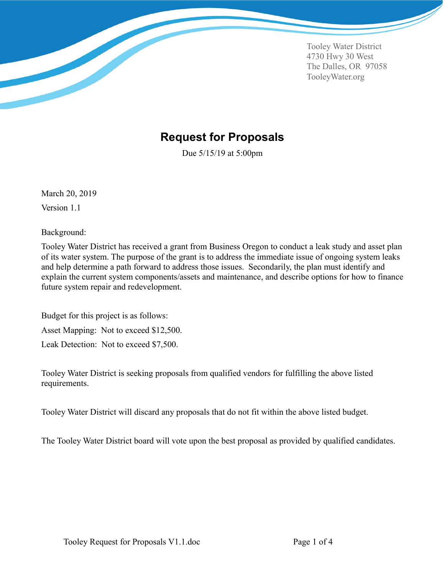Tooley Water District 4730 Hwy 30 West The Dalles, OR 97058 TooleyWater.org

#### <span id="page-0-0"></span>**Request for Proposals**

Due 5/15/19 at 5:00pm

March 20, 2019 Version 1.1

Background:

Tooley Water District has received a grant from Business Oregon to conduct a leak study and asset plan of its water system. The purpose of the grant is to address the immediate issue of ongoing system leaks and help determine a path forward to address those issues. Secondarily, the plan must identify and explain the current system components/assets and maintenance, and describe options for how to finance future system repair and redevelopment.

Budget for this project is as follows: Asset Mapping: Not to exceed \$12,500. Leak Detection: Not to exceed \$7,500.

Tooley Water District is seeking proposals from qualified vendors for fulfilling the above listed requirements.

Tooley Water District will discard any proposals that do not fit within the above listed budget.

The Tooley Water District board will vote upon the best proposal as provided by qualified candidates.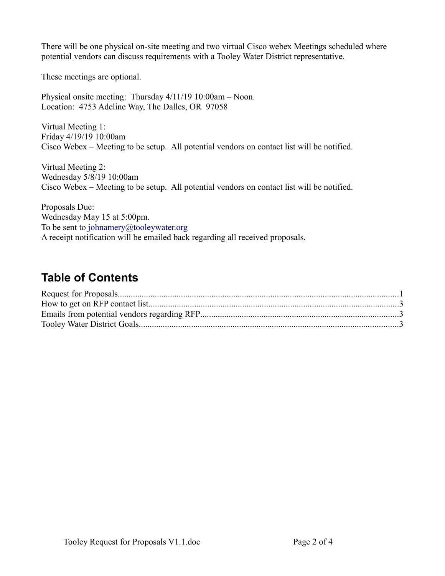There will be one physical on-site meeting and two virtual Cisco webex Meetings scheduled where potential vendors can discuss requirements with a Tooley Water District representative.

These meetings are optional.

Physical onsite meeting: Thursday 4/11/19 10:00am – Noon. Location: 4753 Adeline Way, The Dalles, OR 97058

Virtual Meeting 1: Friday 4/19/19 10:00am Cisco Webex – Meeting to be setup. All potential vendors on contact list will be notified.

Virtual Meeting 2: Wednesday 5/8/19 10:00am Cisco Webex – Meeting to be setup. All potential vendors on contact list will be notified.

Proposals Due: Wednesday May 15 at 5:00pm. To be sent to [johnamery@tooleywater.org](mailto:johnamery@tooleywater.org) A receipt notification will be emailed back regarding all received proposals.

## **Table of Contents**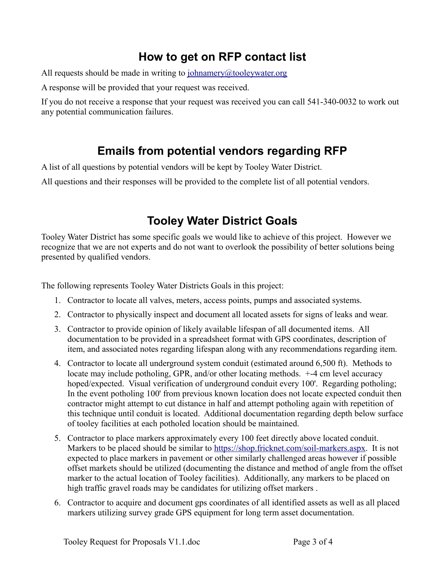# <span id="page-2-2"></span>**How to get on RFP contact list**

All requests should be made in writing to [johnamery@tooleywater.org](mailto:johnamery@tooleywater.org)

A response will be provided that your request was received.

If you do not receive a response that your request was received you can call 541-340-0032 to work out any potential communication failures.

# <span id="page-2-1"></span>**Emails from potential vendors regarding RFP**

A list of all questions by potential vendors will be kept by Tooley Water District.

All questions and their responses will be provided to the complete list of all potential vendors.

## <span id="page-2-0"></span>**Tooley Water District Goals**

Tooley Water District has some specific goals we would like to achieve of this project. However we recognize that we are not experts and do not want to overlook the possibility of better solutions being presented by qualified vendors.

The following represents Tooley Water Districts Goals in this project:

- 1. Contractor to locate all valves, meters, access points, pumps and associated systems.
- 2. Contractor to physically inspect and document all located assets for signs of leaks and wear.
- 3. Contractor to provide opinion of likely available lifespan of all documented items. All documentation to be provided in a spreadsheet format with GPS coordinates, description of item, and associated notes regarding lifespan along with any recommendations regarding item.
- 4. Contractor to locate all underground system conduit (estimated around 6,500 ft). Methods to locate may include potholing, GPR, and/or other locating methods. +-4 cm level accuracy hoped/expected. Visual verification of underground conduit every 100'. Regarding potholing; In the event potholing 100' from previous known location does not locate expected conduit then contractor might attempt to cut distance in half and attempt potholing again with repetition of this technique until conduit is located. Additional documentation regarding depth below surface of tooley facilities at each potholed location should be maintained.
- 5. Contractor to place markers approximately every 100 feet directly above located conduit. Markers to be placed should be similar to [https://shop.fricknet.com/soil-markers.aspx.](https://shop.fricknet.com/soil-markers.aspx) It is not expected to place markers in pavement or other similarly challenged areas however if possible offset markets should be utilized (documenting the distance and method of angle from the offset marker to the actual location of Tooley facilities). Additionally, any markers to be placed on high traffic gravel roads may be candidates for utilizing offset markers .
- 6. Contractor to acquire and document gps coordinates of all identified assets as well as all placed markers utilizing survey grade GPS equipment for long term asset documentation.